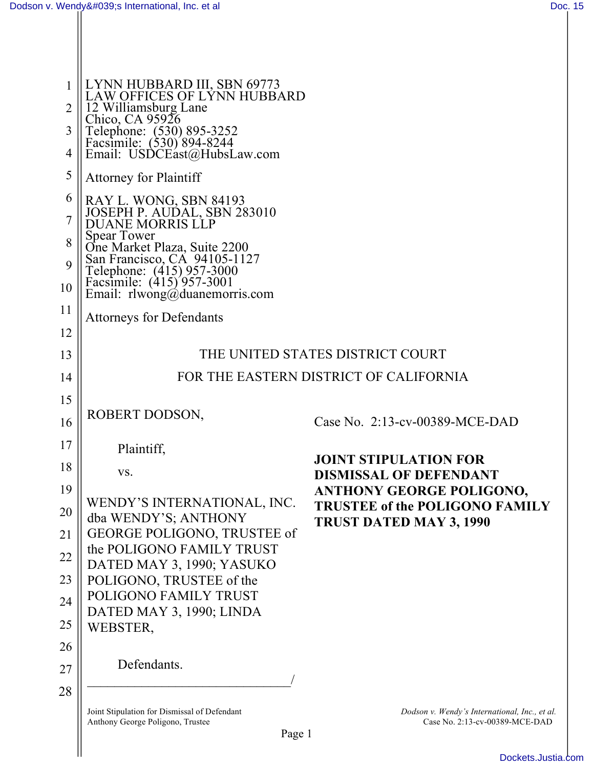| 1              | LYNN HUBBARD III, SBN 69773<br>LAW OFFICES OF LYNN HUBBARD                                                                                              |                                                                                 |  |
|----------------|---------------------------------------------------------------------------------------------------------------------------------------------------------|---------------------------------------------------------------------------------|--|
| $\overline{2}$ | 12 Williamsburg Lane<br>Chico, CA 95926                                                                                                                 |                                                                                 |  |
| 3              | Telephone: (530) 895-3252<br>Facsimile: (530) 894-8244<br>Email: USDCEast@HubsLaw.com                                                                   |                                                                                 |  |
| $\overline{4}$ |                                                                                                                                                         |                                                                                 |  |
| 5              | <b>Attorney for Plaintiff</b>                                                                                                                           |                                                                                 |  |
| 6              |                                                                                                                                                         |                                                                                 |  |
| $\overline{7}$ | RAY L. WONG, SBN 84193<br>JOSEPH P. AUDAL, SBN 283010<br>DUANE MORRIS LLP                                                                               |                                                                                 |  |
| 8              | <b>Spear Tower</b>                                                                                                                                      |                                                                                 |  |
| 9              |                                                                                                                                                         |                                                                                 |  |
| 10             | One Market Plaza, Suite 2200<br>San Francisco, CA 94105-1127<br>Telephone: (415) 957-3000<br>Facsimile: (415) 957-3001<br>Email: rlwong@duanemorris.com |                                                                                 |  |
| 11             | <b>Attorneys for Defendants</b>                                                                                                                         |                                                                                 |  |
| 12             |                                                                                                                                                         |                                                                                 |  |
| 13             | THE UNITED STATES DISTRICT COURT                                                                                                                        |                                                                                 |  |
| 14             | FOR THE EASTERN DISTRICT OF CALIFORNIA                                                                                                                  |                                                                                 |  |
| 15             |                                                                                                                                                         |                                                                                 |  |
| 16             | ROBERT DODSON,                                                                                                                                          | Case No. 2:13-cv-00389-MCE-DAD                                                  |  |
| 17             | Plaintiff,                                                                                                                                              | <b>JOINT STIPULATION FOR</b>                                                    |  |
| 18             | VS.                                                                                                                                                     | <b>DISMISSAL OF DEFENDANT</b>                                                   |  |
| 19             |                                                                                                                                                         | <b>ANTHONY GEORGE POLIGONO,</b>                                                 |  |
| 20             | WENDY'S INTERNATIONAL, INC.<br>dba WENDY'S; ANTHONY                                                                                                     | <b>TRUSTEE of the POLIGONO FAMILY</b><br><b>TRUST DATED MAY 3, 1990</b>         |  |
| 21             | GEORGE POLIGONO, TRUSTEE of                                                                                                                             |                                                                                 |  |
| 22             | the POLIGONO FAMILY TRUST<br>DATED MAY 3, 1990; YASUKO                                                                                                  |                                                                                 |  |
| 23             | POLIGONO, TRUSTEE of the                                                                                                                                |                                                                                 |  |
| 24             | POLIGONO FAMILY TRUST<br>DATED MAY 3, 1990; LINDA                                                                                                       |                                                                                 |  |
| 25             | WEBSTER,                                                                                                                                                |                                                                                 |  |
| 26             |                                                                                                                                                         |                                                                                 |  |
| 27             | Defendants.                                                                                                                                             |                                                                                 |  |
| 28             |                                                                                                                                                         |                                                                                 |  |
|                | Joint Stipulation for Dismissal of Defendant<br>Anthony George Poligono, Trustee                                                                        | Dodson v. Wendy's International, Inc., et al.<br>Case No. 2:13-cv-00389-MCE-DAD |  |
|                | Page 1                                                                                                                                                  |                                                                                 |  |
|                |                                                                                                                                                         |                                                                                 |  |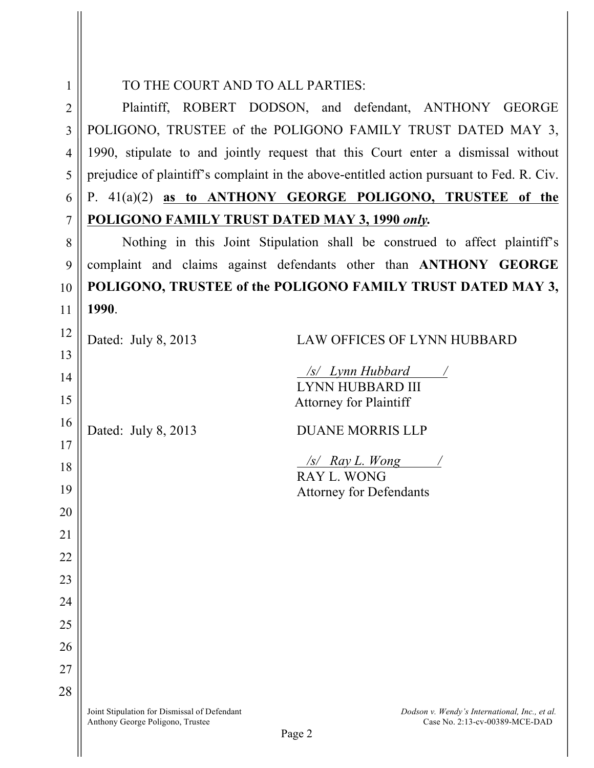|                | TO THE COURT AND TO ALL PARTIES:                                                         |  |  |
|----------------|------------------------------------------------------------------------------------------|--|--|
| $\overline{2}$ | Plaintiff, ROBERT DODSON, and defendant, ANTHONY GEORGE                                  |  |  |
| 3              | POLIGONO, TRUSTEE of the POLIGONO FAMILY TRUST DATED MAY 3,                              |  |  |
| $\overline{4}$ | 1990, stipulate to and jointly request that this Court enter a dismissal without         |  |  |
| 5              | prejudice of plaintiff's complaint in the above-entitled action pursuant to Fed. R. Civ. |  |  |
| 6              | P. 41(a)(2) as to ANTHONY GEORGE POLIGONO, TRUSTEE of the                                |  |  |
| $\tau$         | POLIGONO FAMILY TRUST DATED MAY 3, 1990 only.                                            |  |  |
| 8              | Nothing in this Joint Stipulation shall be construed to affect plaintiff's               |  |  |
| 9              | complaint and claims against defendants other than ANTHONY GEORGE                        |  |  |
| 10             | POLIGONO, TRUSTEE of the POLIGONO FAMILY TRUST DATED MAY 3,                              |  |  |
| 11             | 1990.                                                                                    |  |  |
| 12             | Dated: July 8, 2013<br>LAW OFFICES OF LYNN HUBBARD                                       |  |  |
| 13             |                                                                                          |  |  |
| 14             | /s/ Lynn Hubbard                                                                         |  |  |

Dated: July 8, 2013 DUANE MORRIS LLP

LYNN HUBBARD III Attorney for Plaintiff

*/s/ Ray L. Wong /*

Attorney for Defendants

RAY L. WONG

15

16

17

18

19

20

21

22

23

24

25

26

27

28